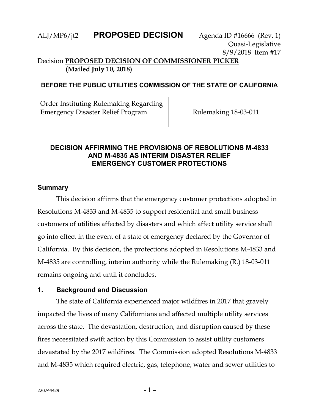### ALJ/MP6/jt2 **PROPOSED DECISION** Agenda ID #16666 (Rev. 1)

Quasi-Legislative 8/9/2018 Item #17

### Decision **PROPOSED DECISION OF COMMISSIONER PICKER (Mailed July 10, 2018)**

### **BEFORE THE PUBLIC UTILITIES COMMISSION OF THE STATE OF CALIFORNIA**

Order Instituting Rulemaking Regarding Emergency Disaster Relief Program. Rulemaking 18-03-011

### **DECISION AFFIRMING THE PROVISIONS OF RESOLUTIONS M-4833 AND M-4835 AS INTERIM DISASTER RELIEF EMERGENCY CUSTOMER PROTECTIONS**

#### **Summary**

This decision affirms that the emergency customer protections adopted in Resolutions M-4833 and M-4835 to support residential and small business customers of utilities affected by disasters and which affect utility service shall go into effect in the event of a state of emergency declared by the Governor of California. By this decision, the protections adopted in Resolutions M-4833 and M-4835 are controlling, interim authority while the Rulemaking (R.) 18-03-011 remains ongoing and until it concludes.

### **1. Background and Discussion**

The state of California experienced major wildfires in 2017 that gravely impacted the lives of many Californians and affected multiple utility services across the state. The devastation, destruction, and disruption caused by these fires necessitated swift action by this Commission to assist utility customers devastated by the 2017 wildfires. The Commission adopted Resolutions M-4833 and M-4835 which required electric, gas, telephone, water and sewer utilities to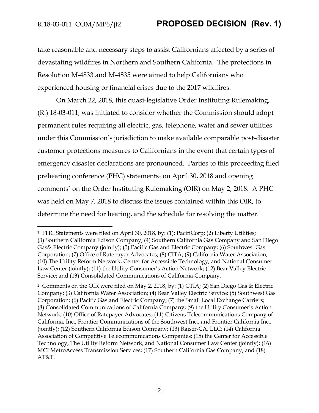$\overline{a}$ 

# R.18-03-011 COM/MP6/jt2 **PROPOSED DECISION (Rev. 1)**

take reasonable and necessary steps to assist Californians affected by a series of devastating wildfires in Northern and Southern California. The protections in Resolution M-4833 and M-4835 were aimed to help Californians who experienced housing or financial crises due to the 2017 wildfires.

On March 22, 2018, this quasi-legislative Order Instituting Rulemaking, (R.) 18-03-011, was initiated to consider whether the Commission should adopt permanent rules requiring all electric, gas, telephone, water and sewer utilities under this Commission's jurisdiction to make available comparable post-disaster customer protections measures to Californians in the event that certain types of emergency disaster declarations are pronounced. Parties to this proceeding filed prehearing conference (PHC) statements<sup>1</sup> on April 30, 2018 and opening comments<sup>2</sup> on the Order Instituting Rulemaking (OIR) on May 2, 2018. A PHC was held on May 7, 2018 to discuss the issues contained within this OIR, to determine the need for hearing, and the schedule for resolving the matter.

<sup>&</sup>lt;sup>1</sup> PHC Statements were filed on April 30, 2018, by: (1); PacifiCorp; (2) Liberty Utilities; (3) Southern California Edison Company; (4) Southern California Gas Company and San Diego Gas& Electric Company (jointly); (5) Pacific Gas and Electric Company; (6) Southwest Gas Corporation; (7) Office of Ratepayer Advocates; (8) CITA; (9) California Water Association; (10) The Utility Reform Network, Center for Accessible Technology, and National Consumer Law Center (jointly); (11) the Utility Consumer's Action Network; (12) Bear Valley Electric Service; and (13) Consolidated Communications of California Company.

<sup>2</sup> Comments on the OIR were filed on May 2, 2018, by: (1) CTIA; (2) San Diego Gas & Electric Company; (3) California Water Association; (4) Bear Valley Electric Service; (5) Southwest Gas Corporation; (6) Pacific Gas and Electric Company; (7) the Small Local Exchange Carriers; (8) Consolidated Communications of California Company; (9) the Utility Consumer's Action Network; (10) Office of Ratepayer Advocates; (11) Citizens Telecommunications Company of California, Inc., Frontier Communications of the Southwest Inc., and Frontier California Inc., (jointly); (12) Southern California Edison Company; (13) Raiser-CA, LLC; (14) California Association of Competitive Telecommunications Companies; (15) the Center for Accessible Technology, The Utility Reform Network, and National Consumer Law Center (jointly); (16) MCI MetroAccess Transmission Services; (17) Southern California Gas Company; and (18) AT&T.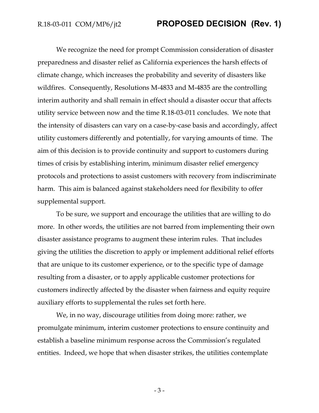We recognize the need for prompt Commission consideration of disaster preparedness and disaster relief as California experiences the harsh effects of climate change, which increases the probability and severity of disasters like wildfires. Consequently, Resolutions M-4833 and M-4835 are the controlling interim authority and shall remain in effect should a disaster occur that affects utility service between now and the time R.18-03-011 concludes. We note that the intensity of disasters can vary on a case-by-case basis and accordingly, affect utility customers differently and potentially, for varying amounts of time. The aim of this decision is to provide continuity and support to customers during times of crisis by establishing interim, minimum disaster relief emergency protocols and protections to assist customers with recovery from indiscriminate harm. This aim is balanced against stakeholders need for flexibility to offer supplemental support.

To be sure, we support and encourage the utilities that are willing to do more. In other words, the utilities are not barred from implementing their own disaster assistance programs to augment these interim rules. That includes giving the utilities the discretion to apply or implement additional relief efforts that are unique to its customer experience, or to the specific type of damage resulting from a disaster, or to apply applicable customer protections for customers indirectly affected by the disaster when fairness and equity require auxiliary efforts to supplemental the rules set forth here.

We, in no way, discourage utilities from doing more: rather, we promulgate minimum, interim customer protections to ensure continuity and establish a baseline minimum response across the Commission's regulated entities. Indeed, we hope that when disaster strikes, the utilities contemplate

- 3 -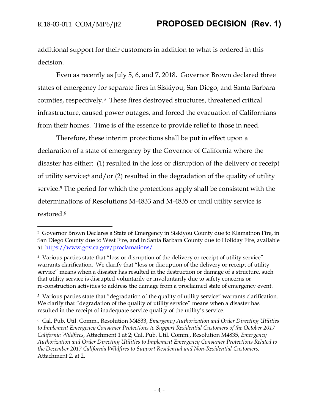$\overline{a}$ 

additional support for their customers in addition to what is ordered in this decision.

Even as recently as July 5, 6, and 7, 2018, Governor Brown declared three states of emergency for separate fires in Siskiyou, San Diego, and Santa Barbara counties, respectively.3 These fires destroyed structures, threatened critical infrastructure, caused power outages, and forced the evacuation of Californians from their homes. Time is of the essence to provide relief to those in need.

Therefore, these interim protections shall be put in effect upon a declaration of a state of emergency by the Governor of California where the disaster has either: (1) resulted in the loss or disruption of the delivery or receipt of utility service;<sup>4</sup> and/or (2) resulted in the degradation of the quality of utility service.<sup>5</sup> The period for which the protections apply shall be consistent with the determinations of Resolutions M-4833 and M-4835 or until utility service is restored.<sup>6</sup>

<sup>5</sup> Various parties state that "degradation of the quality of utility service" warrants clarification. We clarify that "degradation of the quality of utility service" means when a disaster has resulted in the receipt of inadequate service quality of the utility's service.

<sup>&</sup>lt;sup>3</sup> Governor Brown Declares a State of Emergency in Siskiyou County due to Klamathon Fire, in San Diego County due to West Fire, and in Santa Barbara County due to Holiday Fire, available at: <https://www.gov.ca.gov/proclamations/>

<sup>4</sup> Various parties state that "loss or disruption of the delivery or receipt of utility service" warrants clarification. We clarify that "loss or disruption of the delivery or receipt of utility service" means when a disaster has resulted in the destruction or damage of a structure, such that utility service is disrupted voluntarily or involuntarily due to safety concerns or re-construction activities to address the damage from a proclaimed state of emergency event.

<sup>6</sup> Cal. Pub. Util. Comm., Resolution M4833, *Emergency Authorization and Order Directing Utilities to Implement Emergency Consumer Protections to Support Residential Customers of the October 2017 California Wildfires,* Attachment 1 at 2; Cal. Pub. Util. Comm., Resolution M4835, *Emergency Authorization and Order Directing Utilities to Implement Emergency Consumer Protections Related to the December 2017 California Wildfires to Support Residential and Non-Residential Customers,* Attachment 2, at 2.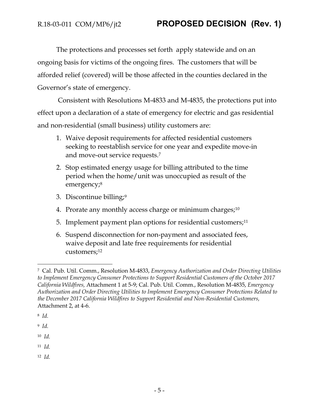The protections and processes set forth apply statewide and on an ongoing basis for victims of the ongoing fires. The customers that will be afforded relief (covered) will be those affected in the counties declared in the Governor's state of emergency.

Consistent with Resolutions M-4833 and M-4835, the protections put into effect upon a declaration of a state of emergency for electric and gas residential and non-residential (small business) utility customers are:

- 1. Waive deposit requirements for affected residential customers seeking to reestablish service for one year and expedite move-in and move-out service requests.<sup>7</sup>
- 2. Stop estimated energy usage for billing attributed to the time period when the home/unit was unoccupied as result of the emergency;<sup>8</sup>
- 3. Discontinue billing;<sup>9</sup>
- 4. Prorate any monthly access charge or minimum charges;<sup>10</sup>
- 5. Implement payment plan options for residential customers;<sup>11</sup>
- 6. Suspend disconnection for non-payment and associated fees, waive deposit and late free requirements for residential customers;<sup>12</sup>

 $\overline{a}$ 

<sup>10</sup> *Id.*

<sup>11</sup> *Id.*

12 *Id.*

<sup>7</sup> Cal. Pub. Util. Comm., Resolution M-4833, *Emergency Authorization and Order Directing Utilities to Implement Emergency Consumer Protections to Support Residential Customers of the October 2017 California Wildfires,* Attachment 1 at 5-9; Cal. Pub. Util. Comm., Resolution M-4835, *Emergency Authorization and Order Directing Utilities to Implement Emergency Consumer Protections Related to the December 2017 California Wildfires to Support Residential and Non-Residential Customers,* Attachment 2, at 4-6.

<sup>8</sup> *Id.*

<sup>9</sup> *Id.*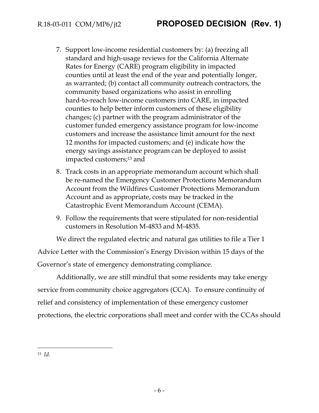- 7. Support low-income residential customers by: (a) freezing all standard and high-usage reviews for the California Alternate Rates for Energy (CARE) program eligibility in impacted counties until at least the end of the year and potentially longer, as warranted; (b) contact all community outreach contractors, the community based organizations who assist in enrolling hard-to-reach low-income customers into CARE, in impacted counties to help better inform customers of these eligibility changes; (c) partner with the program administrator of the customer funded emergency assistance program for low-income customers and increase the assistance limit amount for the next 12 months for impacted customers; and (e) indicate how the energy savings assistance program can be deployed to assist impacted customers;<sup>13</sup> and
- 8. Track costs in an appropriate memorandum account which shall be re-named the Emergency Customer Protections Memorandum Account from the Wildfires Customer Protections Memorandum Account and as appropriate, costs may be tracked in the Catastrophic Event Memorandum Account (CEMA).
- 9. Follow the requirements that were stipulated for non-residential customers in Resolution M-4833 and M-4835.

We direct the regulated electric and natural gas utilities to file a Tier 1 Advice Letter with the Commission's Energy Division within 15 days of the Governor's state of emergency demonstrating compliance.

Additionally, we are still mindful that some residents may take energy service from community choice aggregators (CCA). To ensure continuity of relief and consistency of implementation of these emergency customer protections, the electric corporations shall meet and confer with the CCAs should

 $\overline{a}$ 13 *Id.*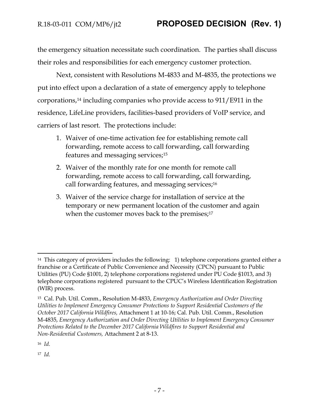the emergency situation necessitate such coordination. The parties shall discuss their roles and responsibilities for each emergency customer protection.

Next, consistent with Resolutions M-4833 and M-4835, the protections we put into effect upon a declaration of a state of emergency apply to telephone corporations,<sup>14</sup> including companies who provide access to 911/E911 in the residence, LifeLine providers, facilities-based providers of VoIP service, and carriers of last resort. The protections include:

- 1. Waiver of one-time activation fee for establishing remote call forwarding, remote access to call forwarding, call forwarding features and messaging services;<sup>15</sup>
- 2. Waiver of the monthly rate for one month for remote call forwarding, remote access to call forwarding, call forwarding, call forwarding features, and messaging services;<sup>16</sup>
- 3. Waiver of the service charge for installation of service at the temporary or new permanent location of the customer and again when the customer moves back to the premises;<sup>17</sup>

<sup>16</sup> *Id.*

 $\overline{a}$ 

17 *Id.*

<sup>&</sup>lt;sup>14</sup> This category of providers includes the following: 1) telephone corporations granted either a franchise or a Certificate of Public Convenience and Necessity (CPCN) pursuant to Public Utilities (PU) Code §1001, 2) telephone corporations registered under PU Code §1013, and 3) telephone corporations registered pursuant to the CPUC's Wireless Identification Registration (WIR) process.

<sup>15</sup> Cal. Pub. Util. Comm., Resolution M-4833, *Emergency Authorization and Order Directing Utilities to Implement Emergency Consumer Protections to Support Residential Customers of the October 2017 California Wildfires,* Attachment 1 at 10-16; Cal. Pub. Util. Comm., Resolution M-4835, *Emergency Authorization and Order Directing Utilities to Implement Emergency Consumer Protections Related to the December 2017 California Wildfires to Support Residential and Non-Residential Customers,* Attachment 2 at 8-13.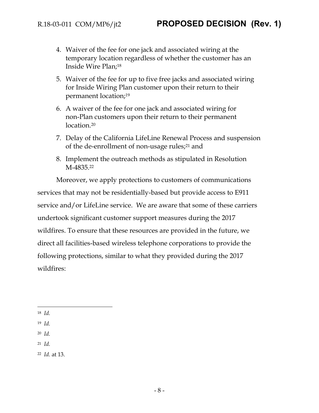- 4. Waiver of the fee for one jack and associated wiring at the temporary location regardless of whether the customer has an Inside Wire Plan;<sup>18</sup>
- 5. Waiver of the fee for up to five free jacks and associated wiring for Inside Wiring Plan customer upon their return to their permanent location;<sup>19</sup>
- 6. A waiver of the fee for one jack and associated wiring for non-Plan customers upon their return to their permanent location.<sup>20</sup>
- 7. Delay of the California LifeLine Renewal Process and suspension of the de-enrollment of non-usage rules;<sup>21</sup> and
- 8. Implement the outreach methods as stipulated in Resolution M-4835.<sup>22</sup>

Moreover, we apply protections to customers of communications services that may not be residentially-based but provide access to E911 service and/or LifeLine service. We are aware that some of these carriers undertook significant customer support measures during the 2017 wildfires. To ensure that these resources are provided in the future, we direct all facilities-based wireless telephone corporations to provide the following protections, similar to what they provided during the 2017 wildfires:

 $\overline{a}$ 

- <sup>19</sup> *Id.*
- <sup>20</sup> *Id.*
- <sup>21</sup> *Id.*
- <sup>22</sup> *Id.* at 13.

<sup>18</sup> *Id.*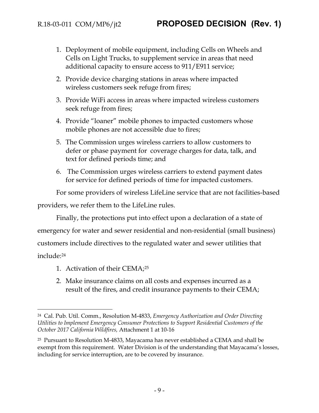- 1. Deployment of mobile equipment, including Cells on Wheels and Cells on Light Trucks, to supplement service in areas that need additional capacity to ensure access to 911/E911 service;
- 2. Provide device charging stations in areas where impacted wireless customers seek refuge from fires;
- 3. Provide WiFi access in areas where impacted wireless customers seek refuge from fires;
- 4. Provide "loaner" mobile phones to impacted customers whose mobile phones are not accessible due to fires;
- 5. The Commission urges wireless carriers to allow customers to defer or phase payment for coverage charges for data, talk, and text for defined periods time; and
- 6. The Commission urges wireless carriers to extend payment dates for service for defined periods of time for impacted customers.

For some providers of wireless LifeLine service that are not facilities-based

providers, we refer them to the LifeLine rules.

Finally, the protections put into effect upon a declaration of a state of emergency for water and sewer residential and non-residential (small business) customers include directives to the regulated water and sewer utilities that include:<sup>24</sup>

1. Activation of their CEMA; 25

 $\overline{a}$ 

2. Make insurance claims on all costs and expenses incurred as a result of the fires, and credit insurance payments to their CEMA;

<sup>24</sup> Cal. Pub. Util. Comm., Resolution M-4833, *Emergency Authorization and Order Directing Utilities to Implement Emergency Consumer Protections to Support Residential Customers of the October 2017 California Wildfires,* Attachment 1 at 10-16

<sup>25</sup> Pursuant to Resolution M-4833, Mayacama has never established a CEMA and shall be exempt from this requirement. Water Division is of the understanding that Mayacama's losses, including for service interruption, are to be covered by insurance.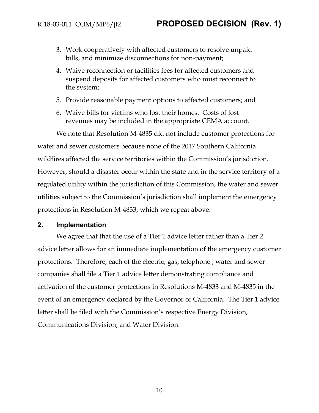- 3. Work cooperatively with affected customers to resolve unpaid bills, and minimize disconnections for non-payment;
- 4. Waive reconnection or facilities fees for affected customers and suspend deposits for affected customers who must reconnect to the system;
- 5. Provide reasonable payment options to affected customers; and
- 6. Waive bills for victims who lost their homes. Costs of lost revenues may be included in the appropriate CEMA account.

We note that Resolution M-4835 did not include customer protections for water and sewer customers because none of the 2017 Southern California wildfires affected the service territories within the Commission's jurisdiction. However, should a disaster occur within the state and in the service territory of a regulated utility within the jurisdiction of this Commission, the water and sewer utilities subject to the Commission's jurisdiction shall implement the emergency protections in Resolution M-4833, which we repeat above.

### **2. Implementation**

We agree that that the use of a Tier 1 advice letter rather than a Tier 2 advice letter allows for an immediate implementation of the emergency customer protections. Therefore, each of the electric, gas, telephone , water and sewer companies shall file a Tier 1 advice letter demonstrating compliance and activation of the customer protections in Resolutions M-4833 and M-4835 in the event of an emergency declared by the Governor of California. The Tier 1 advice letter shall be filed with the Commission's respective Energy Division, Communications Division, and Water Division.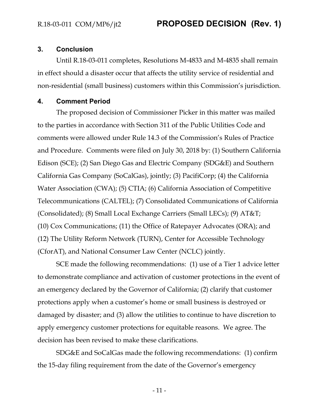### **3. Conclusion**

Until R.18-03-011 completes, Resolutions M-4833 and M-4835 shall remain in effect should a disaster occur that affects the utility service of residential and non-residential (small business) customers within this Commission's jurisdiction.

#### **4. Comment Period**

The proposed decision of Commissioner Picker in this matter was mailed to the parties in accordance with Section 311 of the Public Utilities Code and comments were allowed under Rule 14.3 of the Commission's Rules of Practice and Procedure. Comments were filed on July 30, 2018 by: (1) Southern California Edison (SCE); (2) San Diego Gas and Electric Company (SDG&E) and Southern California Gas Company (SoCalGas), jointly; (3) PacifiCorp; (4) the California Water Association (CWA); (5) CTIA; (6) California Association of Competitive Telecommunications (CALTEL); (7) Consolidated Communications of California (Consolidated); (8) Small Local Exchange Carriers (Small LECs); (9) AT&T; (10) Cox Communications; (11) the Office of Ratepayer Advocates (ORA); and (12) The Utility Reform Network (TURN), Center for Accessible Technology (CforAT), and National Consumer Law Center (NCLC) jointly.

SCE made the following recommendations: (1) use of a Tier 1 advice letter to demonstrate compliance and activation of customer protections in the event of an emergency declared by the Governor of California; (2) clarify that customer protections apply when a customer's home or small business is destroyed or damaged by disaster; and (3) allow the utilities to continue to have discretion to apply emergency customer protections for equitable reasons. We agree. The decision has been revised to make these clarifications.

SDG&E and SoCalGas made the following recommendations: (1) confirm the 15-day filing requirement from the date of the Governor's emergency

- 11 -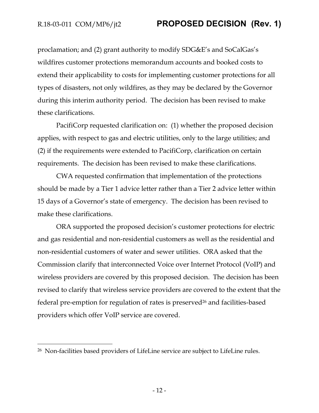$\overline{a}$ 

## R.18-03-011 COM/MP6/jt2 **PROPOSED DECISION (Rev. 1)**

proclamation; and (2) grant authority to modify SDG&E's and SoCalGas's wildfires customer protections memorandum accounts and booked costs to extend their applicability to costs for implementing customer protections for all types of disasters, not only wildfires, as they may be declared by the Governor during this interim authority period. The decision has been revised to make these clarifications.

PacifiCorp requested clarification on: (1) whether the proposed decision applies, with respect to gas and electric utilities, only to the large utilities; and (2) if the requirements were extended to PacifiCorp, clarification on certain requirements. The decision has been revised to make these clarifications.

CWA requested confirmation that implementation of the protections should be made by a Tier 1 advice letter rather than a Tier 2 advice letter within 15 days of a Governor's state of emergency. The decision has been revised to make these clarifications.

ORA supported the proposed decision's customer protections for electric and gas residential and non-residential customers as well as the residential and non-residential customers of water and sewer utilities. ORA asked that the Commission clarify that interconnected Voice over Internet Protocol (VoIP) and wireless providers are covered by this proposed decision. The decision has been revised to clarify that wireless service providers are covered to the extent that the federal pre-emption for regulation of rates is preserved<sup>26</sup> and facilities-based providers which offer VoIP service are covered.

<sup>26</sup> Non-facilities based providers of LifeLine service are subject to LifeLine rules.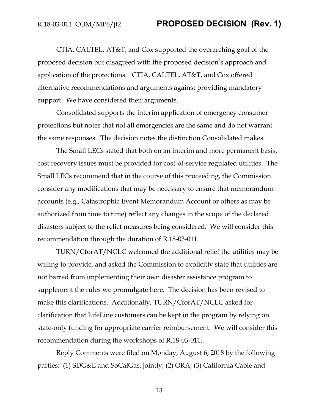CTIA, CALTEL, AT&T, and Cox supported the overarching goal of the proposed decision but disagreed with the proposed decision's approach and application of the protections. CTIA, CALTEL, AT&T, and Cox offered alternative recommendations and arguments against providing mandatory support. We have considered their arguments.

Consolidated supports the interim application of emergency consumer protections but notes that not all emergencies are the same and do not warrant the same responses. The decision notes the distinction Consolidated makes.

The Small LECs stated that both on an interim and more permanent basis, cost recovery issues must be provided for cost-of-service regulated utilities. The Small LECs recommend that in the course of this proceeding, the Commission consider any modifications that may be necessary to ensure that memorandum accounts (e.g., Catastrophic Event Memorandum Account or others as may be authorized from time to time) reflect any changes in the scope of the declared disasters subject to the relief measures being considered. We will consider this recommendation through the duration of R.18-03-011.

TURN/CforAT/NCLC welcomed the additional relief the utilities may be willing to provide, and asked the Commission to explicitly state that utilities are not barred from implementing their own disaster assistance program to supplement the rules we promulgate here. The decision has been revised to make this clarifications. Additionally, TURN/CforAT/NCLC asked for clarification that LifeLine customers can be kept in the program by relying on state-only funding for appropriate carrier reimbursement. We will consider this recommendation during the workshops of R.18-03-011.

Reply Comments were filed on Monday, August 6, 2018 by the following parties: (1) SDG&E and SoCalGas, jointly; (2) ORA; (3) California Cable and

- 13 -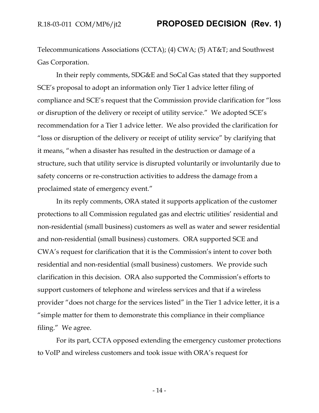Telecommunications Associations (CCTA); (4) CWA; (5) AT&T; and Southwest Gas Corporation.

In their reply comments, SDG&E and SoCal Gas stated that they supported SCE's proposal to adopt an information only Tier 1 advice letter filing of compliance and SCE's request that the Commission provide clarification for "loss or disruption of the delivery or receipt of utility service." We adopted SCE's recommendation for a Tier 1 advice letter. We also provided the clarification for "loss or disruption of the delivery or receipt of utility service" by clarifying that it means, "when a disaster has resulted in the destruction or damage of a structure, such that utility service is disrupted voluntarily or involuntarily due to safety concerns or re-construction activities to address the damage from a proclaimed state of emergency event."

In its reply comments, ORA stated it supports application of the customer protections to all Commission regulated gas and electric utilities' residential and non-residential (small business) customers as well as water and sewer residential and non-residential (small business) customers. ORA supported SCE and CWA's request for clarification that it is the Commission's intent to cover both residential and non-residential (small business) customers. We provide such clarification in this decision. ORA also supported the Commission's efforts to support customers of telephone and wireless services and that if a wireless provider "does not charge for the services listed" in the Tier 1 advice letter, it is a "simple matter for them to demonstrate this compliance in their compliance filing." We agree.

For its part, CCTA opposed extending the emergency customer protections to VoIP and wireless customers and took issue with ORA's request for

- 14 -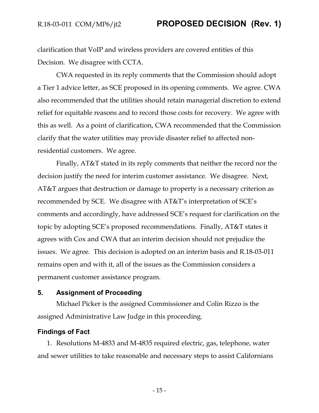clarification that VoIP and wireless providers are covered entities of this Decision. We disagree with CCTA.

CWA requested in its reply comments that the Commission should adopt a Tier 1 advice letter, as SCE proposed in its opening comments. We agree. CWA also recommended that the utilities should retain managerial discretion to extend relief for equitable reasons and to record those costs for recovery. We agree with this as well. As a point of clarification, CWA recommended that the Commission clarify that the water utilities may provide disaster relief to affected nonresidential customers. We agree.

Finally, AT&T stated in its reply comments that neither the record nor the decision justify the need for interim customer assistance. We disagree. Next, AT&T argues that destruction or damage to property is a necessary criterion as recommended by SCE. We disagree with AT&T's interpretation of SCE's comments and accordingly, have addressed SCE's request for clarification on the topic by adopting SCE's proposed recommendations. Finally, AT&T states it agrees with Cox and CWA that an interim decision should not prejudice the issues. We agree. This decision is adopted on an interim basis and R.18-03-011 remains open and with it, all of the issues as the Commission considers a permanent customer assistance program.

### **5. Assignment of Proceeding**

Michael Picker is the assigned Commissioner and Colin Rizzo is the assigned Administrative Law Judge in this proceeding.

#### **Findings of Fact**

1. Resolutions M-4833 and M-4835 required electric, gas, telephone, water and sewer utilities to take reasonable and necessary steps to assist Californians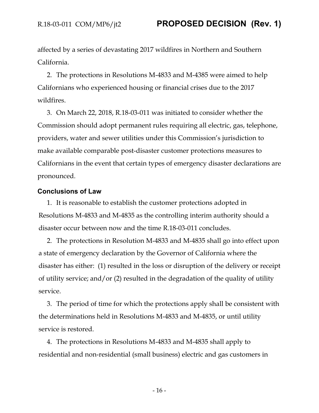affected by a series of devastating 2017 wildfires in Northern and Southern California.

2. The protections in Resolutions M-4833 and M-4385 were aimed to help Californians who experienced housing or financial crises due to the 2017 wildfires.

3. On March 22, 2018, R.18-03-011 was initiated to consider whether the Commission should adopt permanent rules requiring all electric, gas, telephone, providers, water and sewer utilities under this Commission's jurisdiction to make available comparable post-disaster customer protections measures to Californians in the event that certain types of emergency disaster declarations are pronounced.

#### **Conclusions of Law**

1. It is reasonable to establish the customer protections adopted in Resolutions M-4833 and M-4835 as the controlling interim authority should a disaster occur between now and the time R.18-03-011 concludes.

2. The protections in Resolution M-4833 and M-4835 shall go into effect upon a state of emergency declaration by the Governor of California where the disaster has either: (1) resulted in the loss or disruption of the delivery or receipt of utility service; and/or (2) resulted in the degradation of the quality of utility service.

3. The period of time for which the protections apply shall be consistent with the determinations held in Resolutions M-4833 and M-4835, or until utility service is restored.

4. The protections in Resolutions M-4833 and M-4835 shall apply to residential and non-residential (small business) electric and gas customers in

- 16 -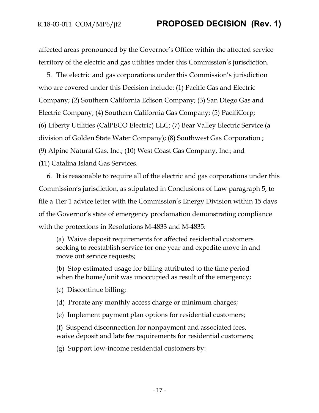affected areas pronounced by the Governor's Office within the affected service territory of the electric and gas utilities under this Commission's jurisdiction.

5. The electric and gas corporations under this Commission's jurisdiction who are covered under this Decision include: (1) Pacific Gas and Electric Company; (2) Southern California Edison Company; (3) San Diego Gas and Electric Company; (4) Southern California Gas Company; (5) PacifiCorp; (6) Liberty Utilities (CalPECO Electric) LLC; (7) Bear Valley Electric Service (a division of Golden State Water Company); (8) Southwest Gas Corporation ; (9) Alpine Natural Gas, Inc.; (10) West Coast Gas Company, Inc.; and (11) Catalina Island Gas Services.

6. It is reasonable to require all of the electric and gas corporations under this Commission's jurisdiction, as stipulated in Conclusions of Law paragraph 5, to file a Tier 1 advice letter with the Commission's Energy Division within 15 days of the Governor's state of emergency proclamation demonstrating compliance with the protections in Resolutions M-4833 and M-4835:

(a) Waive deposit requirements for affected residential customers seeking to reestablish service for one year and expedite move in and move out service requests;

(b) Stop estimated usage for billing attributed to the time period when the home/unit was unoccupied as result of the emergency;

- (c) Discontinue billing;
- (d) Prorate any monthly access charge or minimum charges;
- (e) Implement payment plan options for residential customers;

(f) Suspend disconnection for nonpayment and associated fees, waive deposit and late fee requirements for residential customers;

(g) Support low-income residential customers by: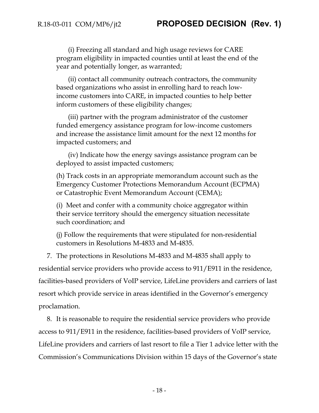(i) Freezing all standard and high usage reviews for CARE program eligibility in impacted counties until at least the end of the year and potentially longer, as warranted;

(ii) contact all community outreach contractors, the community based organizations who assist in enrolling hard to reach lowincome customers into CARE, in impacted counties to help better inform customers of these eligibility changes;

(iii) partner with the program administrator of the customer funded emergency assistance program for low-income customers and increase the assistance limit amount for the next 12 months for impacted customers; and

(iv) Indicate how the energy savings assistance program can be deployed to assist impacted customers;

(h) Track costs in an appropriate memorandum account such as the Emergency Customer Protections Memorandum Account (ECPMA) or Catastrophic Event Memorandum Account (CEMA);

(i) Meet and confer with a community choice aggregator within their service territory should the emergency situation necessitate such coordination; and

(j) Follow the requirements that were stipulated for non-residential customers in Resolutions M-4833 and M-4835.

7. The protections in Resolutions M-4833 and M-4835 shall apply to residential service providers who provide access to 911/E911 in the residence, facilities-based providers of VoIP service, LifeLine providers and carriers of last resort which provide service in areas identified in the Governor's emergency proclamation.

8. It is reasonable to require the residential service providers who provide access to 911/E911 in the residence, facilities-based providers of VoIP service, LifeLine providers and carriers of last resort to file a Tier 1 advice letter with the Commission's Communications Division within 15 days of the Governor's state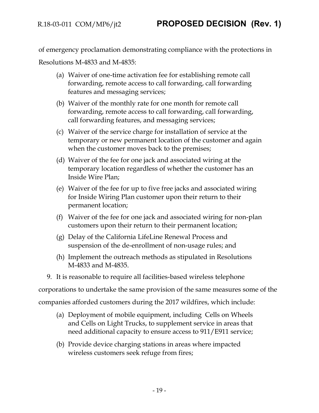of emergency proclamation demonstrating compliance with the protections in Resolutions M-4833 and M-4835:

- (a) Waiver of one-time activation fee for establishing remote call forwarding, remote access to call forwarding, call forwarding features and messaging services;
- (b) Waiver of the monthly rate for one month for remote call forwarding, remote access to call forwarding, call forwarding, call forwarding features, and messaging services;
- (c) Waiver of the service charge for installation of service at the temporary or new permanent location of the customer and again when the customer moves back to the premises;
- (d) Waiver of the fee for one jack and associated wiring at the temporary location regardless of whether the customer has an Inside Wire Plan;
- (e) Waiver of the fee for up to five free jacks and associated wiring for Inside Wiring Plan customer upon their return to their permanent location;
- (f) Waiver of the fee for one jack and associated wiring for non-plan customers upon their return to their permanent location;
- (g) Delay of the California LifeLine Renewal Process and suspension of the de-enrollment of non-usage rules; and
- (h) Implement the outreach methods as stipulated in Resolutions M-4833 and M-4835.
- 9. It is reasonable to require all facilities-based wireless telephone

corporations to undertake the same provision of the same measures some of the

companies afforded customers during the 2017 wildfires, which include:

- (a) Deployment of mobile equipment, including Cells on Wheels and Cells on Light Trucks, to supplement service in areas that need additional capacity to ensure access to 911/E911 service;
- (b) Provide device charging stations in areas where impacted wireless customers seek refuge from fires;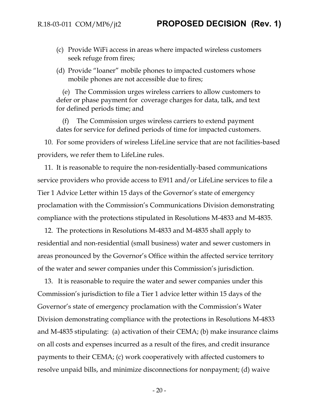- (c) Provide WiFi access in areas where impacted wireless customers seek refuge from fires;
- (d) Provide "loaner" mobile phones to impacted customers whose mobile phones are not accessible due to fires;

(e) The Commission urges wireless carriers to allow customers to defer or phase payment for coverage charges for data, talk, and text for defined periods time; and

(f) The Commission urges wireless carriers to extend payment dates for service for defined periods of time for impacted customers.

10. For some providers of wireless LifeLine service that are not facilities-based providers, we refer them to LifeLine rules.

11. It is reasonable to require the non-residentially-based communications service providers who provide access to E911 and/or LifeLine services to file a Tier 1 Advice Letter within 15 days of the Governor's state of emergency proclamation with the Commission's Communications Division demonstrating compliance with the protections stipulated in Resolutions M-4833 and M-4835.

12. The protections in Resolutions M-4833 and M-4835 shall apply to residential and non-residential (small business) water and sewer customers in areas pronounced by the Governor's Office within the affected service territory of the water and sewer companies under this Commission's jurisdiction.

13. It is reasonable to require the water and sewer companies under this Commission's jurisdiction to file a Tier 1 advice letter within 15 days of the Governor's state of emergency proclamation with the Commission's Water Division demonstrating compliance with the protections in Resolutions M-4833 and M-4835 stipulating: (a) activation of their CEMA; (b) make insurance claims on all costs and expenses incurred as a result of the fires, and credit insurance payments to their CEMA; (c) work cooperatively with affected customers to resolve unpaid bills, and minimize disconnections for nonpayment; (d) waive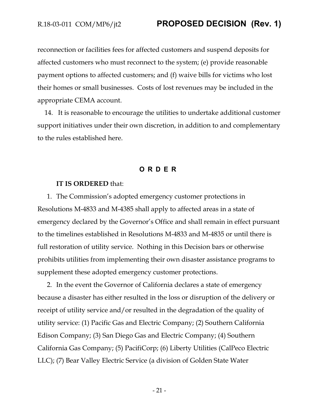reconnection or facilities fees for affected customers and suspend deposits for affected customers who must reconnect to the system; (e) provide reasonable payment options to affected customers; and (f) waive bills for victims who lost their homes or small businesses. Costs of lost revenues may be included in the appropriate CEMA account.

14. It is reasonable to encourage the utilities to undertake additional customer support initiatives under their own discretion, in addition to and complementary to the rules established here.

### **ORDER**

#### **IT IS ORDERED** that:

1. The Commission's adopted emergency customer protections in Resolutions M-4833 and M-4385 shall apply to affected areas in a state of emergency declared by the Governor's Office and shall remain in effect pursuant to the timelines established in Resolutions M-4833 and M-4835 or until there is full restoration of utility service. Nothing in this Decision bars or otherwise prohibits utilities from implementing their own disaster assistance programs to supplement these adopted emergency customer protections.

2. In the event the Governor of California declares a state of emergency because a disaster has either resulted in the loss or disruption of the delivery or receipt of utility service and/or resulted in the degradation of the quality of utility service: (1) Pacific Gas and Electric Company; (2) Southern California Edison Company; (3) San Diego Gas and Electric Company; (4) Southern California Gas Company; (5) PacifiCorp; (6) Liberty Utilities (CalPeco Electric LLC); (7) Bear Valley Electric Service (a division of Golden State Water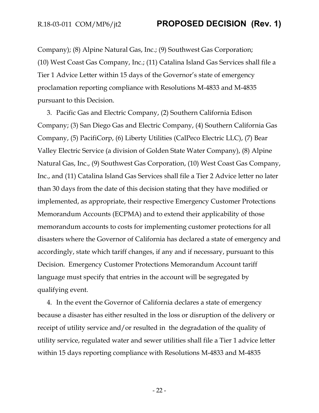Company); (8) Alpine Natural Gas, Inc.; (9) Southwest Gas Corporation; (10) West Coast Gas Company, Inc.; (11) Catalina Island Gas Services shall file a Tier 1 Advice Letter within 15 days of the Governor's state of emergency proclamation reporting compliance with Resolutions M-4833 and M-4835 pursuant to this Decision.

3. Pacific Gas and Electric Company, (2) Southern California Edison Company; (3) San Diego Gas and Electric Company, (4) Southern California Gas Company, (5) PacifiCorp, (6) Liberty Utilities (CalPeco Electric LLC), (7) Bear Valley Electric Service (a division of Golden State Water Company), (8) Alpine Natural Gas, Inc., (9) Southwest Gas Corporation, (10) West Coast Gas Company, Inc., and (11) Catalina Island Gas Services shall file a Tier 2 Advice letter no later than 30 days from the date of this decision stating that they have modified or implemented, as appropriate, their respective Emergency Customer Protections Memorandum Accounts (ECPMA) and to extend their applicability of those memorandum accounts to costs for implementing customer protections for all disasters where the Governor of California has declared a state of emergency and accordingly, state which tariff changes, if any and if necessary, pursuant to this Decision. Emergency Customer Protections Memorandum Account tariff language must specify that entries in the account will be segregated by qualifying event.

4. In the event the Governor of California declares a state of emergency because a disaster has either resulted in the loss or disruption of the delivery or receipt of utility service and/or resulted in the degradation of the quality of utility service, regulated water and sewer utilities shall file a Tier 1 advice letter within 15 days reporting compliance with Resolutions M-4833 and M-4835

- 22 -